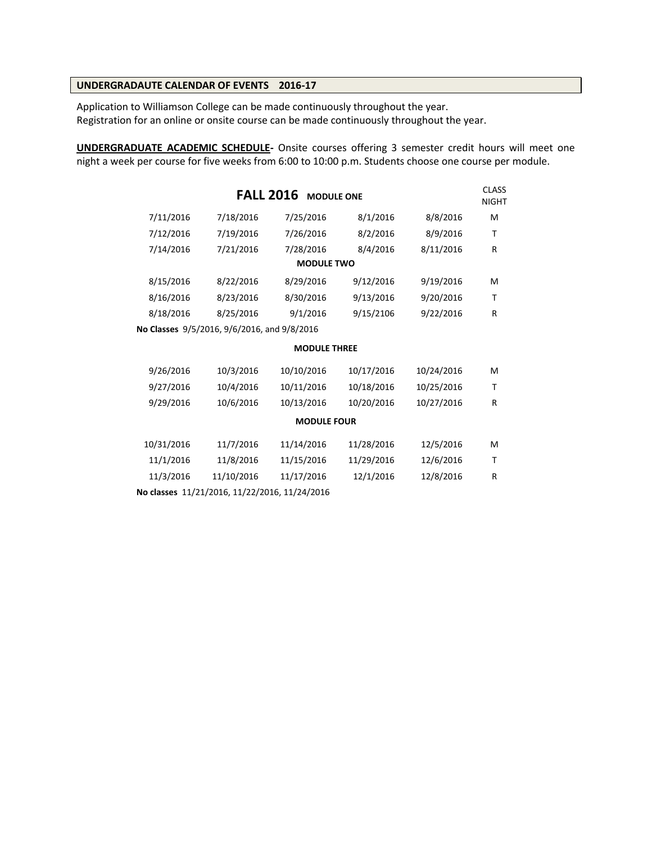# **UNDERGRADAUTE CALENDAR OF EVENTS 2016-17**

Application to Williamson College can be made continuously throughout the year. Registration for an online or onsite course can be made continuously throughout the year.

**UNDERGRADUATE ACADEMIC SCHEDULE-** Onsite courses offering 3 semester credit hours will meet one night a week per course for five weeks from 6:00 to 10:00 p.m. Students choose one course per module.

|            | <b>FALL 2016</b>                              | <b>MODULE ONE</b>   |            |            | <b>CLASS</b><br><b>NIGHT</b> |
|------------|-----------------------------------------------|---------------------|------------|------------|------------------------------|
| 7/11/2016  | 7/18/2016                                     | 7/25/2016           | 8/1/2016   | 8/8/2016   | M                            |
| 7/12/2016  | 7/19/2016                                     | 7/26/2016           | 8/2/2016   | 8/9/2016   | т                            |
| 7/14/2016  | 7/21/2016                                     | 7/28/2016           | 8/4/2016   | 8/11/2016  | R                            |
|            |                                               | <b>MODULE TWO</b>   |            |            |                              |
| 8/15/2016  | 8/22/2016                                     | 8/29/2016           | 9/12/2016  | 9/19/2016  | м                            |
| 8/16/2016  | 8/23/2016                                     | 8/30/2016           | 9/13/2016  | 9/20/2016  | т                            |
| 8/18/2016  | 8/25/2016                                     | 9/1/2016            | 9/15/2106  | 9/22/2016  | R                            |
|            | No Classes 9/5/2016, 9/6/2016, and 9/8/2016   |                     |            |            |                              |
|            |                                               | <b>MODULE THREE</b> |            |            |                              |
| 9/26/2016  | 10/3/2016                                     | 10/10/2016          | 10/17/2016 | 10/24/2016 | м                            |
| 9/27/2016  | 10/4/2016                                     | 10/11/2016          | 10/18/2016 | 10/25/2016 | т                            |
| 9/29/2016  | 10/6/2016                                     | 10/13/2016          | 10/20/2016 | 10/27/2016 | R                            |
|            |                                               | <b>MODULE FOUR</b>  |            |            |                              |
| 10/31/2016 | 11/7/2016                                     | 11/14/2016          | 11/28/2016 | 12/5/2016  | м                            |
| 11/1/2016  | 11/8/2016                                     | 11/15/2016          | 11/29/2016 | 12/6/2016  | Т                            |
| 11/3/2016  | 11/10/2016                                    | 11/17/2016          | 12/1/2016  | 12/8/2016  | R                            |
|            | No classes 11/21/2016, 11/22/2016, 11/24/2016 |                     |            |            |                              |